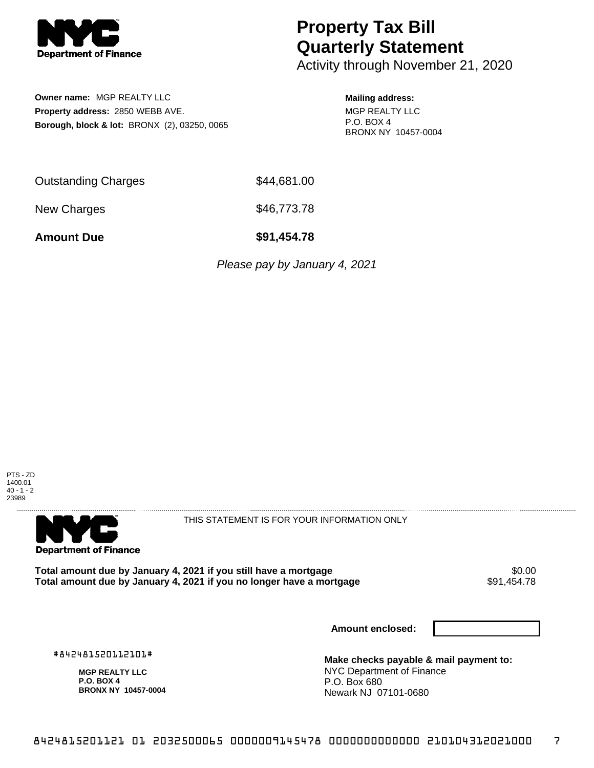

## **Property Tax Bill Quarterly Statement**

Activity through November 21, 2020

**Owner name:** MGP REALTY LLC **Property address:** 2850 WEBB AVE. **Borough, block & lot:** BRONX (2), 03250, 0065

## **Mailing address:**

MGP REALTY LLC P.O. BOX 4 BRONX NY 10457-0004

| <b>Outstanding Charges</b> | \$44,681.00 |
|----------------------------|-------------|
| New Charges                | \$46,773.78 |

**Amount Due \$91,454.78**

Please pay by January 4, 2021





THIS STATEMENT IS FOR YOUR INFORMATION ONLY

Total amount due by January 4, 2021 if you still have a mortgage **\$0.00** \$0.00<br>Total amount due by January 4, 2021 if you no longer have a mortgage **\$91,454.78** Total amount due by January 4, 2021 if you no longer have a mortgage

**Amount enclosed:**

#842481520112101#

**MGP REALTY LLC P.O. BOX 4 BRONX NY 10457-0004**

**Make checks payable & mail payment to:** NYC Department of Finance P.O. Box 680 Newark NJ 07101-0680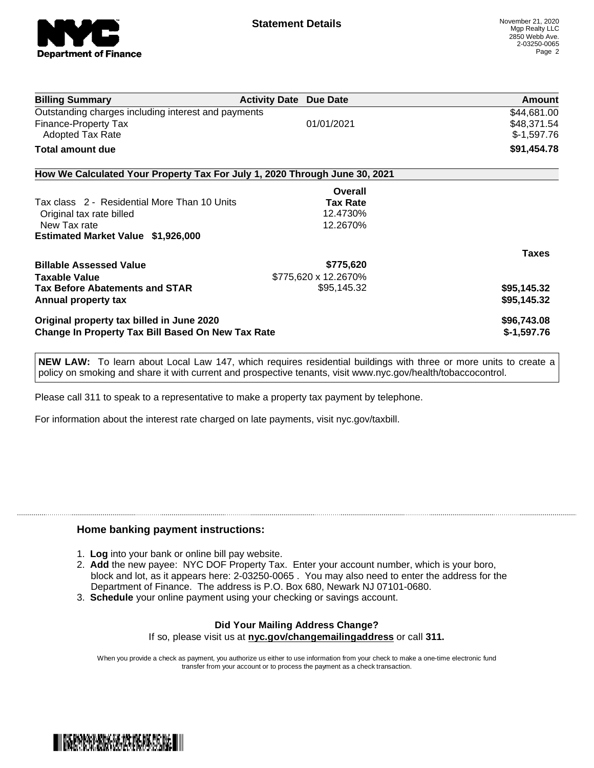

|                                                                            | Amount       |
|----------------------------------------------------------------------------|--------------|
| Outstanding charges including interest and payments                        | \$44,681.00  |
| 01/01/2021                                                                 | \$48,371.54  |
|                                                                            | $$-1,597.76$ |
|                                                                            | \$91,454.78  |
| How We Calculated Your Property Tax For July 1, 2020 Through June 30, 2021 |              |
| Overall                                                                    |              |
| <b>Tax Rate</b>                                                            |              |
| 12.4730%                                                                   |              |
| 12.2670%                                                                   |              |
|                                                                            |              |
|                                                                            | <b>Taxes</b> |
| \$775,620                                                                  |              |
| \$775,620 x 12.2670%                                                       |              |
| \$95,145.32                                                                | \$95,145.32  |
|                                                                            | \$95,145.32  |
|                                                                            | \$96,743.08  |
| <b>Change In Property Tax Bill Based On New Tax Rate</b>                   | $$-1,597.76$ |
|                                                                            |              |

**NEW LAW:** To learn about Local Law 147, which requires residential buildings with three or more units to create a policy on smoking and share it with current and prospective tenants, visit www.nyc.gov/health/tobaccocontrol.

Please call 311 to speak to a representative to make a property tax payment by telephone.

For information about the interest rate charged on late payments, visit nyc.gov/taxbill.

## **Home banking payment instructions:**

- 1. **Log** into your bank or online bill pay website.
- 2. **Add** the new payee: NYC DOF Property Tax. Enter your account number, which is your boro, block and lot, as it appears here: 2-03250-0065 . You may also need to enter the address for the Department of Finance. The address is P.O. Box 680, Newark NJ 07101-0680.
- 3. **Schedule** your online payment using your checking or savings account.

## **Did Your Mailing Address Change?** If so, please visit us at **nyc.gov/changemailingaddress** or call **311.**

When you provide a check as payment, you authorize us either to use information from your check to make a one-time electronic fund transfer from your account or to process the payment as a check transaction.

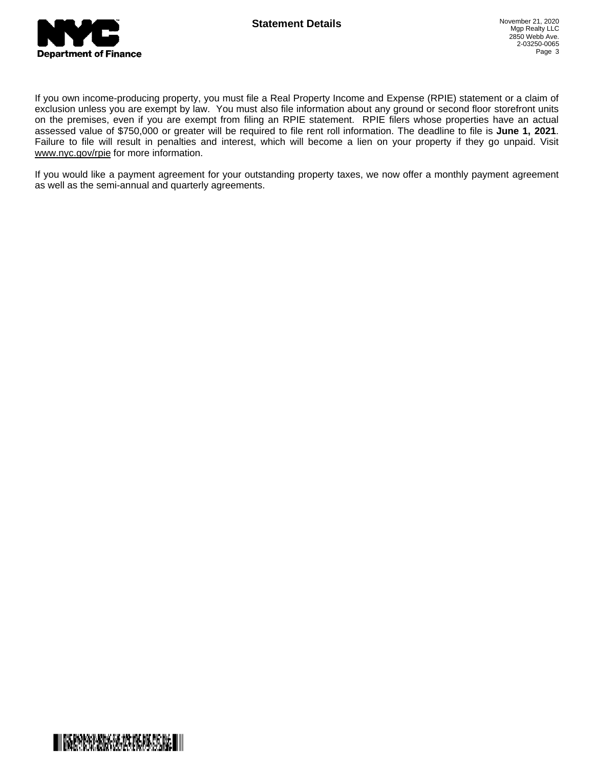

If you own income-producing property, you must file a Real Property Income and Expense (RPIE) statement or a claim of exclusion unless you are exempt by law. You must also file information about any ground or second floor storefront units on the premises, even if you are exempt from filing an RPIE statement. RPIE filers whose properties have an actual assessed value of \$750,000 or greater will be required to file rent roll information. The deadline to file is **June 1, 2021**. Failure to file will result in penalties and interest, which will become a lien on your property if they go unpaid. Visit [www.nyc.gov/rpie](https://gcc01.safelinks.protection.outlook.com/?url=http%3A%2F%2Fwww.nyc.gov%2Frpie&data=04%7C01%7CNopperB%40finance.nyc.gov%7Cb5441c0febda4654c59308d871e42e3d%7C32f56fc75f814e22a95b15da66513bef%7C0%7C0%7C637384572119592751%7CUnknown%7CTWFpbGZsb3d8eyJWIjoiMC4wLjAwMDAiLCJQIjoiV2luMzIiLCJBTiI6Ik1haWwiLCJXVCI6Mn0%3D%7C1000&sdata=5r9tfjT5xGtYBarIoWvpryLYlBW%2BnkEP80XChdlWHLU%3D&reserved=0) for more information.

If you would like a payment agreement for your outstanding property taxes, we now offer a monthly payment agreement as well as the semi-annual and quarterly agreements.